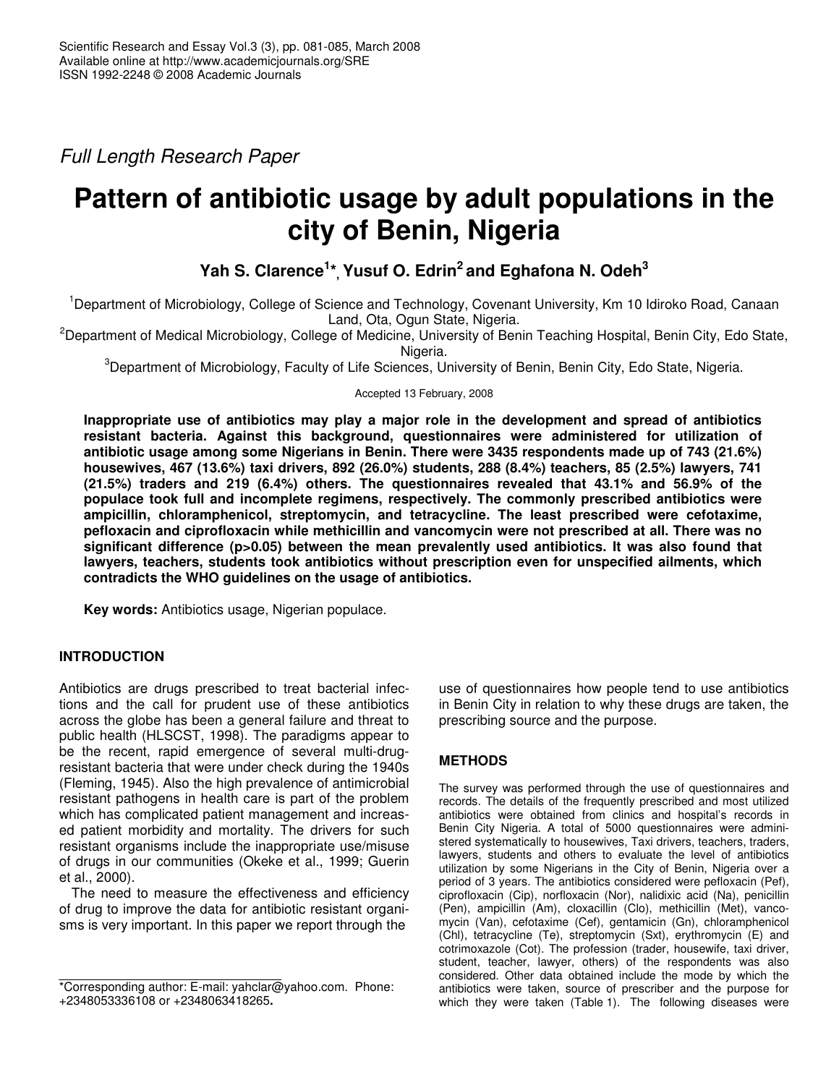*Full Length Research Paper*

# **Pattern of antibiotic usage by adult populations in the city of Benin, Nigeria**

**Yah S. Clarence 1 \*, Yusuf O. Edrin 2 and Eghafona N. Odeh 3**

<sup>1</sup>Department of Microbiology, College of Science and Technology, Covenant University, Km 10 Idiroko Road, Canaan Land, Ota, Ogun State, Nigeria.

<sup>2</sup>Department of Medical Microbiology, College of Medicine, University of Benin Teaching Hospital, Benin City, Edo State, Nigeria.

<sup>3</sup>Department of Microbiology, Faculty of Life Sciences, University of Benin, Benin City, Edo State, Nigeria.

Accepted 13 February, 2008

**Inappropriate use of antibiotics may play a major role in the development and spread of antibiotics resistant bacteria. Against this background, questionnaires were administered for utilization of antibiotic usage among some Nigerians in Benin. There were 3435 respondents made up of 743 (21.6%) housewives, 467 (13.6%) taxi drivers, 892 (26.0%) students, 288 (8.4%) teachers, 85 (2.5%) lawyers, 741 (21.5%) traders and 219 (6.4%) others. The questionnaires revealed that 43.1% and 56.9% of the populace took full and incomplete regimens, respectively. The commonly prescribed antibiotics were ampicillin, chloramphenicol, streptomycin, and tetracycline. The least prescribed were cefotaxime, pefloxacin and ciprofloxacin while methicillin and vancomycin were not prescribed at all. There was no significant difference (p>0.05) between the mean prevalently used antibiotics. It was also found that lawyers, teachers, students took antibiotics without prescription even for unspecified ailments, which contradicts the WHO guidelines on the usage of antibiotics.**

**Key words:** Antibiotics usage, Nigerian populace.

# **INTRODUCTION**

Antibiotics are drugs prescribed to treat bacterial infections and the call for prudent use of these antibiotics across the globe has been a general failure and threat to public health (HLSCST, 1998). The paradigms appear to be the recent, rapid emergence of several multi-drugresistant bacteria that were under check during the 1940s (Fleming, 1945). Also the high prevalence of antimicrobial resistant pathogens in health care is part of the problem which has complicated patient management and increased patient morbidity and mortality. The drivers for such resistant organisms include the inappropriate use/misuse of drugs in our communities (Okeke et al., 1999; Guerin et al., 2000).

The need to measure the effectiveness and efficiency of drug to improve the data for antibiotic resistant organisms is very important. In this paper we report through the

use of questionnaires how people tend to use antibiotics in Benin City in relation to why these drugs are taken, the prescribing source and the purpose.

# **METHODS**

The survey was performed through the use of questionnaires and records. The details of the frequently prescribed and most utilized antibiotics were obtained from clinics and hospital's records in Benin City Nigeria. A total of 5000 questionnaires were administered systematically to housewives, Taxi drivers, teachers, traders, lawyers, students and others to evaluate the level of antibiotics utilization by some Nigerians in the City of Benin, Nigeria over a period of 3 years. The antibiotics considered were pefloxacin (Pef), ciprofloxacin (Cip), norfloxacin (Nor), nalidixic acid (Na), penicillin (Pen), ampicillin (Am), cloxacillin (Clo), methicillin (Met), vancomycin (Van), cefotaxime (Cef), gentamicin (Gn), chloramphenicol (Chl), tetracycline (Te), streptomycin (Sxt), erythromycin (E) and cotrimoxazole (Cot). The profession (trader, housewife, taxi driver, student, teacher, lawyer, others) of the respondents was also considered. Other data obtained include the mode by which the antibiotics were taken, source of prescriber and the purpose for which they were taken (Table 1). The following diseases were

<sup>\*</sup>Corresponding author: E-mail: yahclar@yahoo.com. Phone: +2348053336108 or +2348063418265**.**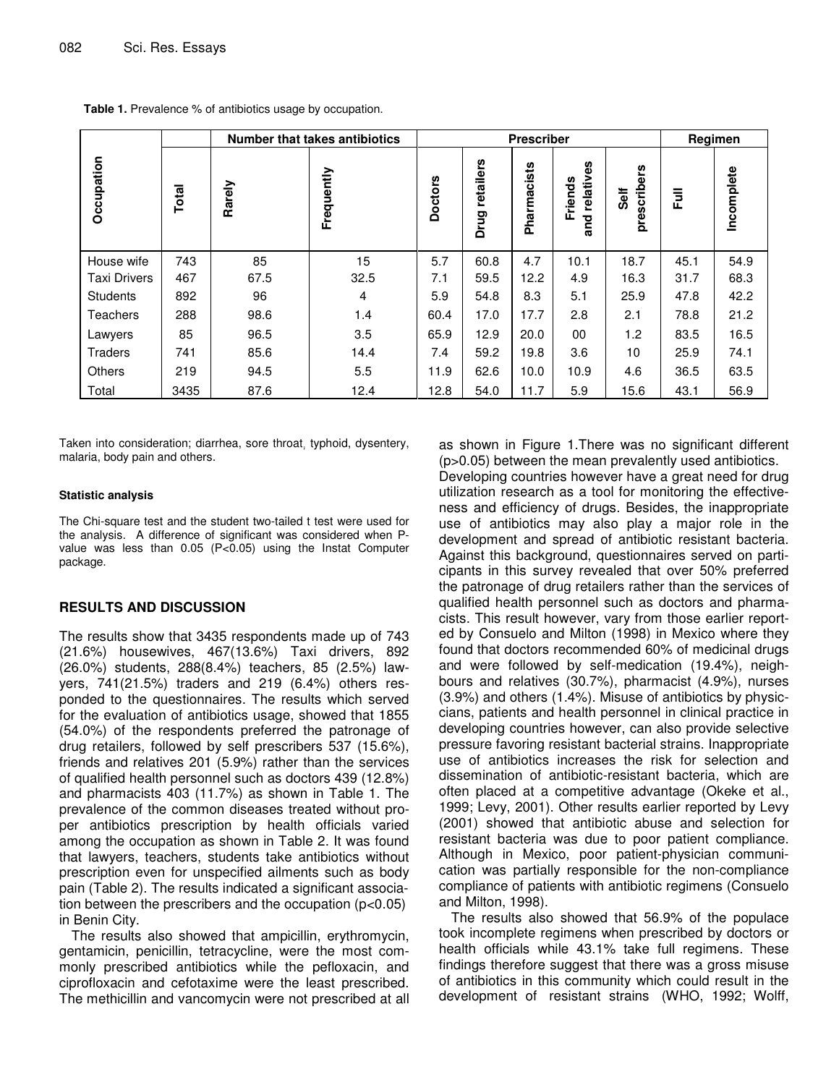|                     |       | <b>Number that takes antibiotics</b> | <b>Prescriber</b> |                |                   |             | Regimen                        |                         |      |            |
|---------------------|-------|--------------------------------------|-------------------|----------------|-------------------|-------------|--------------------------------|-------------------------|------|------------|
| Occupation          | Total | Rarely                               | Frequently        | <b>Doctors</b> | retailers<br>Drug | Pharmacists | 8<br>relativ<br>Friends<br>and | scribers<br>Self<br>pre | E    | Incomplete |
| House wife          | 743   | 85                                   | 15                | 5.7            | 60.8              | 4.7         | 10.1                           | 18.7                    | 45.1 | 54.9       |
| <b>Taxi Drivers</b> | 467   | 67.5                                 | 32.5              | 7.1            | 59.5              | 12.2        | 4.9                            | 16.3                    | 31.7 | 68.3       |
| <b>Students</b>     | 892   | 96                                   | 4                 | 5.9            | 54.8              | 8.3         | 5.1                            | 25.9                    | 47.8 | 42.2       |
| <b>Teachers</b>     | 288   | 98.6                                 | 1.4               | 60.4           | 17.0              | 17.7        | 2.8                            | 2.1                     | 78.8 | 21.2       |
| Lawyers             | 85    | 96.5                                 | 3.5               | 65.9           | 12.9              | 20.0        | 00                             | 1.2                     | 83.5 | 16.5       |
| <b>Traders</b>      | 741   | 85.6                                 | 14.4              | 7.4            | 59.2              | 19.8        | 3.6                            | 10                      | 25.9 | 74.1       |
| Others              | 219   | 94.5                                 | 5.5               | 11.9           | 62.6              | 10.0        | 10.9                           | 4.6                     | 36.5 | 63.5       |
| Total               | 3435  | 87.6                                 | 12.4              | 12.8           | 54.0              | 11.7        | 5.9                            | 15.6                    | 43.1 | 56.9       |

**Table 1.** Prevalence % of antibiotics usage by occupation.

Taken into consideration; diarrhea, sore throat, typhoid, dysentery, malaria, body pain and others.

#### **Statistic analysis**

The Chi-square test and the student two-tailed t test were used for the analysis. A difference of significant was considered when Pvalue was less than 0.05 (P<0.05) using the Instat Computer package.

## **RESULTS AND DISCUSSION**

The results show that 3435 respondents made up of 743 (21.6%) housewives, 467(13.6%) Taxi drivers, 892 (26.0%) students, 288(8.4%) teachers, 85 (2.5%) lawyers, 741(21.5%) traders and 219 (6.4%) others responded to the questionnaires. The results which served for the evaluation of antibiotics usage, showed that 1855 (54.0%) of the respondents preferred the patronage of drug retailers, followed by self prescribers 537 (15.6%), friends and relatives 201 (5.9%) rather than the services of qualified health personnel such as doctors 439 (12.8%) and pharmacists 403 (11.7%) as shown in Table 1. The prevalence of the common diseases treated without proper antibiotics prescription by health officials varied among the occupation as shown in Table 2. It was found that lawyers, teachers, students take antibiotics without prescription even for unspecified ailments such as body pain (Table 2). The results indicated a significant association between the prescribers and the occupation  $(p<0.05)$ in Benin City.

The results also showed that ampicillin, erythromycin, gentamicin, penicillin, tetracycline, were the most commonly prescribed antibiotics while the pefloxacin, and ciprofloxacin and cefotaxime were the least prescribed. The methicillin and vancomycin were not prescribed at all as shown in Figure 1.There was no significant different (p>0.05) between the mean prevalently used antibiotics. Developing countries however have a great need for drug utilization research as a tool for monitoring the effectiveness and efficiency of drugs. Besides, the inappropriate use of antibiotics may also play a major role in the development and spread of antibiotic resistant bacteria. Against this background, questionnaires served on participants in this survey revealed that over 50% preferred the patronage of drug retailers rather than the services of qualified health personnel such as doctors and pharmacists. This result however, vary from those earlier reported by Consuelo and Milton (1998) in Mexico where they found that doctors recommended 60% of medicinal drugs and were followed by self-medication (19.4%), neighbours and relatives (30.7%), pharmacist (4.9%), nurses (3.9%) and others (1.4%). Misuse of antibiotics by physiccians, patients and health personnel in clinical practice in developing countries however, can also provide selective pressure favoring resistant bacterial strains. Inappropriate use of antibiotics increases the risk for selection and dissemination of antibiotic-resistant bacteria, which are often placed at a competitive advantage (Okeke et al., 1999; Levy, 2001). Other results earlier reported by Levy (2001) showed that antibiotic abuse and selection for resistant bacteria was due to poor patient compliance. Although in Mexico, poor patient-physician communication was partially responsible for the non-compliance compliance of patients with antibiotic regimens (Consuelo and Milton, 1998).

The results also showed that 56.9% of the populace took incomplete regimens when prescribed by doctors or health officials while 43.1% take full regimens. These findings therefore suggest that there was a gross misuse of antibiotics in this community which could result in the development of resistant strains (WHO, 1992; Wolff,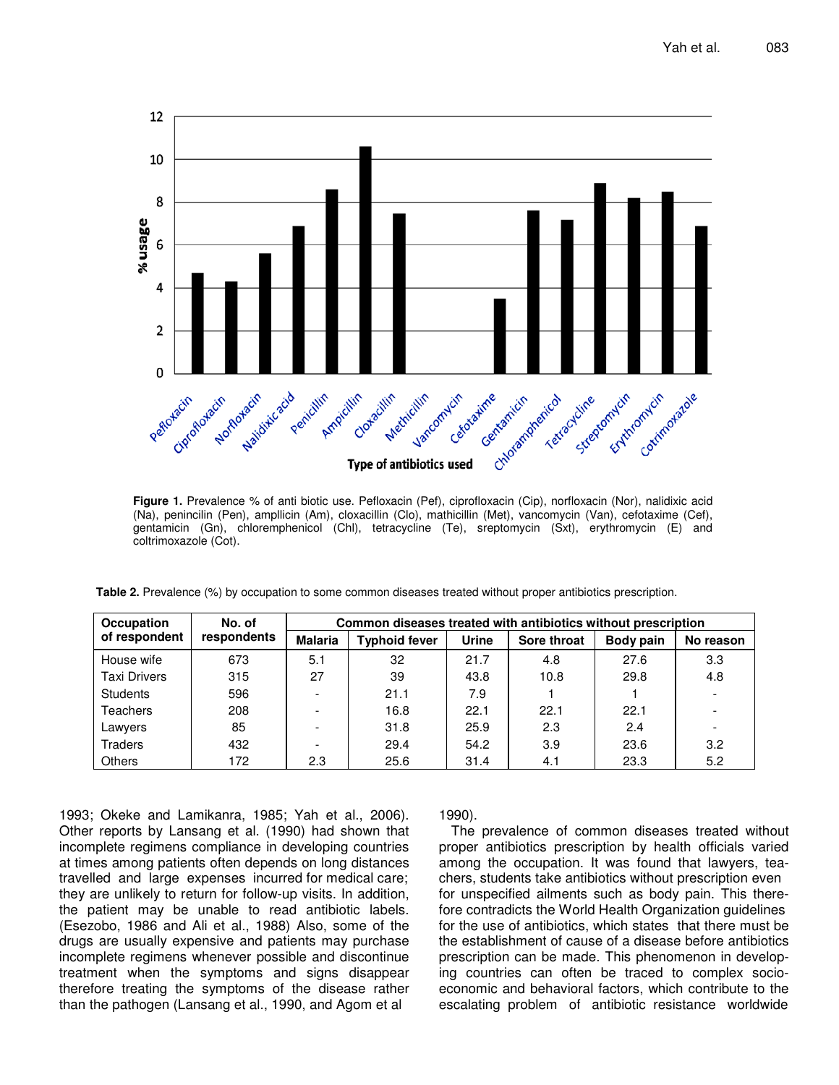

**Figure 1.** Prevalence % of anti biotic use. Pefloxacin (Pef), ciprofloxacin (Cip), norfloxacin (Nor), nalidixic acid (Na), penincilin (Pen), ampllicin (Am), cloxacillin (Clo), mathicillin (Met), vancomycin (Van), cefotaxime (Cef), gentamicin (Gn), chloremphenicol (Chl), tetracycline (Te), sreptomycin (Sxt), erythromycin (E) and coltrimoxazole (Cot).

| Table 2. Prevalence (%) by occupation to some common diseases treated without proper antibiotics prescription. |  |
|----------------------------------------------------------------------------------------------------------------|--|
|----------------------------------------------------------------------------------------------------------------|--|

| <b>Occupation</b>   | No. of      | Common diseases treated with antibiotics without prescription |                      |              |             |           |           |  |  |
|---------------------|-------------|---------------------------------------------------------------|----------------------|--------------|-------------|-----------|-----------|--|--|
| of respondent       | respondents | <b>Malaria</b>                                                | <b>Typhoid fever</b> | <b>Urine</b> | Sore throat | Body pain | No reason |  |  |
| House wife          | 673         | 5.1                                                           | 32                   | 21.7         | 4.8         | 27.6      | 3.3       |  |  |
| <b>Taxi Drivers</b> | 315         | 27                                                            | 39                   | 43.8         | 10.8        | 29.8      | 4.8       |  |  |
| <b>Students</b>     | 596         | $\overline{\phantom{0}}$                                      | 21.1                 | 7.9          |             |           |           |  |  |
| Teachers            | 208         | $\overline{\phantom{a}}$                                      | 16.8                 | 22.1         | 22.1        | 22.1      |           |  |  |
| Lawyers             | 85          | $\overline{\phantom{a}}$                                      | 31.8                 | 25.9         | 2.3         | 2.4       |           |  |  |
| Traders             | 432         | $\overline{\phantom{a}}$                                      | 29.4                 | 54.2         | 3.9         | 23.6      | 3.2       |  |  |
| <b>Others</b>       | 172         | 2.3                                                           | 25.6                 | 31.4         | 4.1         | 23.3      | 5.2       |  |  |

1993; Okeke and Lamikanra, 1985; Yah et al., 2006). Other reports by Lansang et al. (1990) had shown that incomplete regimens compliance in developing countries at times among patients often depends on long distances travelled and large expenses incurred for medical care; they are unlikely to return for follow-up visits. In addition, the patient may be unable to read antibiotic labels. (Esezobo, 1986 and Ali et al., 1988) Also, some of the drugs are usually expensive and patients may purchase incomplete regimens whenever possible and discontinue treatment when the symptoms and signs disappear therefore treating the symptoms of the disease rather than the pathogen (Lansang et al., 1990, and Agom et al

## 1990).

The prevalence of common diseases treated without proper antibiotics prescription by health officials varied among the occupation. It was found that lawyers, teachers, students take antibiotics without prescription even for unspecified ailments such as body pain. This therefore contradicts the World Health Organization guidelines for the use of antibiotics, which states that there must be the establishment of cause of a disease before antibiotics prescription can be made. This phenomenon in developing countries can often be traced to complex socioeconomic and behavioral factors, which contribute to the escalating problem of antibiotic resistance worldwide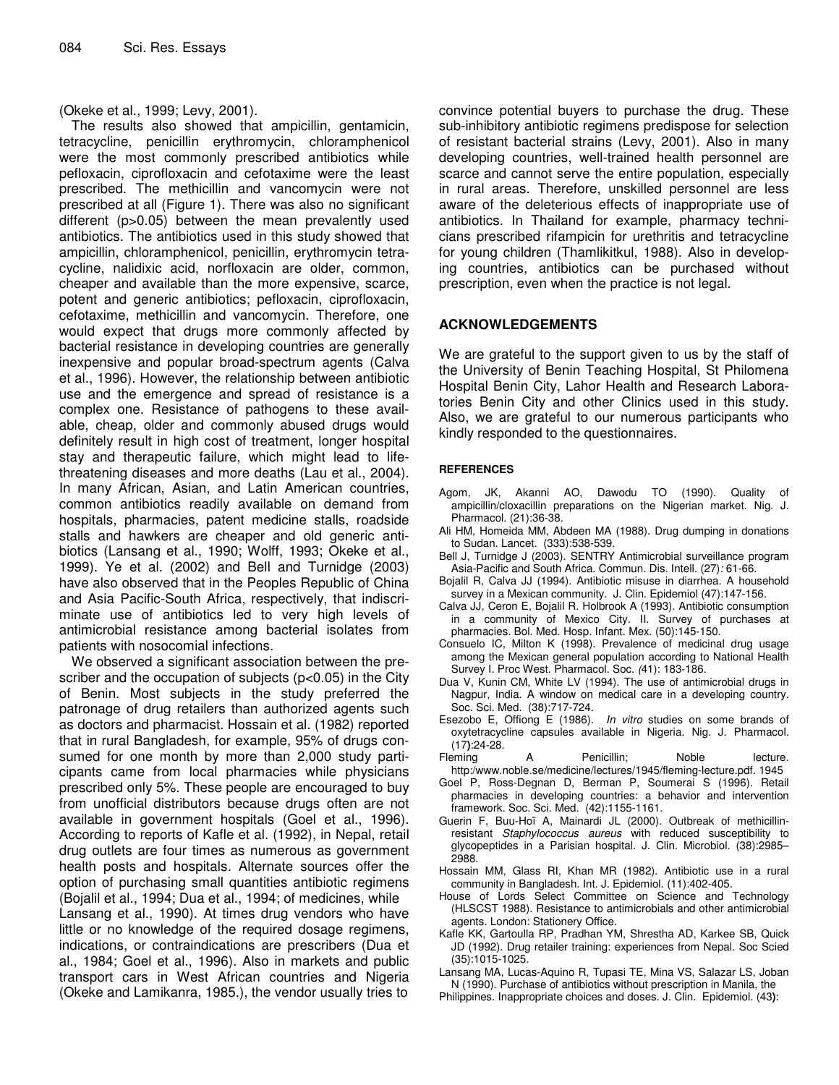(Okeke et al., 1999; Levy, 2001).

The results also showed that ampicillin, gentamicin, tetracycline, penicillin erythromycin, chloramphenicol were the most commonly prescribed antibiotics while pefloxacin, ciprofloxacin and cefotaxime were the least prescribed. The methicillin and vancomycin were not prescribed at all (Figure 1). There was also no significant different (p>0.05) between the mean prevalently used antibiotics. The antibiotics used in this study showed that ampicillin, chloramphenicol, penicillin, erythromycin tetracycline, nalidixic acid, norfloxacin are older, common, cheaper and available than the more expensive, scarce, potent and generic antibiotics; pefloxacin, ciprofloxacin, cefotaxime, methicillin and vancomycin. Therefore, one would expect that drugs more commonly affected by bacterial resistance in developing countries are generally inexpensive and popular broad-spectrum agents (Calva et al., 1996). However, the relationship between antibiotic use and the emergence and spread of resistance is a complex one. Resistance of pathogens to these available, cheap, older and commonly abused drugs would definitely result in high cost of treatment, longer hospital stay and therapeutic failure, which might lead to lifethreatening diseases and more deaths (Lau et al., 2004). In many African, Asian, and Latin American countries, common antibiotics readily available on demand from hospitals, pharmacies, patent medicine stalls, roadside stalls and hawkers are cheaper and old generic antibiotics (Lansang et al., 1990; Wolff, 1993; Okeke et al., 1999). Ye et al. (2002) and Bell and Turnidge (2003) have also observed that in the Peoples Republic of China and Asia Pacific-South Africa, respectively, that indiscriminate use of antibiotics led to very high levels of antimicrobial resistance among bacterial isolates from patients with nosocomial infections.

We observed a significant association between the prescriber and the occupation of subjects (p<0.05) in the City of Benin. Most subjects in the study preferred the patronage of drug retailers than authorized agents such as doctors and pharmacist. Hossain et al. (1982) reported that in rural Bangladesh, for example, 95% of drugs consumed for one month by more than 2,000 study participants came from local pharmacies while physicians prescribed only 5%. These people are encouraged to buy from unofficial distributors because drugs often are not available in government hospitals (Goel et al., 1996). According to reports of Kafle et al. (1992), in Nepal, retail drug outlets are four times as numerous as government health posts and hospitals. Alternate sources offer the option of purchasing small quantities antibiotic regimens (Bojalil et al., 1994; Dua et al., 1994; of medicines, while Lansang et al., 1990). At times drug vendors who have little or no knowledge of the required dosage regimens, indications, or contraindications are prescribers (Dua et al., 1984; Goel et al., 1996). Also in markets and public transport cars in West African countries and Nigeria (Okeke and Lamikanra, 1985.), the vendor usually tries to

convince potential buyers to purchase the drug. These sub-inhibitory antibiotic regimens predispose for selection of resistant bacterial strains (Levy, 2001). Also in many developing countries, well-trained health personnel are scarce and cannot serve the entire population, especially in rural areas. Therefore, unskilled personnel are less aware of the deleterious effects of inappropriate use of antibiotics. In Thailand for example, pharmacy technicians prescribed rifampicin for urethritis and tetracycline for young children (Thamlikitkul, 1988). Also in developing countries, antibiotics can be purchased without prescription, even when the practice is not legal.

#### **ACKNOWLEDGEMENTS**

We are grateful to the support given to us by the staff of the University of Benin Teaching Hospital, St Philomena Hospital Benin City, Lahor Health and Research Laboratories Benin City and other Clinics used in this study. Also, we are grateful to our numerous participants who kindly responded to the questionnaires.

#### **REFERENCES**

- Agom, JK, Akanni AO, Dawodu TO (1990). Quality of ampicillin/cloxacillin preparations on the Nigerian market. Nig. J. Pharmacol. (21):36-38.
- Ali HM, Homeida MM, Abdeen MA (1988). Drug dumping in donations to Sudan. Lancet. (333):538-539.
- Bell J, Turnidge J (2003). SENTRY Antimicrobial surveillance program Asia-Pacific and South Africa. Commun. Dis. Intell. (27)*:* 61-66.
- Bojalil R, Calva JJ (1994). Antibiotic misuse in diarrhea. A household survey in a Mexican community. J. Clin. Epidemiol (47):147-156.
- Calva JJ, Ceron E, Bojalil R. Holbrook A (1993). Antibiotic consumption in a community of Mexico City. II. Survey of purchases at pharmacies*.* Bol. Med. Hosp. Infant. Mex. (50):145-150.
- Consuelo IC, Milton K (1998). Prevalence of medicinal drug usage among the Mexican general population according to National Health Survey I. Proc West. Pharmacol. Soc. *(*41): 183-186.
- Dua V, Kunin CM, White LV (1994). The use of antimicrobial drugs in Nagpur, India. A window on medical care in a developing country. Soc. Sci. Med*.* (38):717-724.
- Esezobo E, Offiong E (1986). *In vitro* studies on some brands of oxytetracycline capsules available in Nigeria. Nig. J. Pharmacol. (17**)**:24-28.
- Fleming A Penicillin; Noble lecture. http:/www.noble.se/medicine/lectures/1945/fleming-lecture.pdf. 1945
- Goel P, Ross-Degnan D, Berman P, Soumerai S (1996). Retail pharmacies in developing countries: a behavior and intervention framework. Soc. Sci. Med. (42):1155-1161.
- Guerin F, Buu-Hoï A, Mainardi JL (2000)*.* Outbreak of methicillinresistant *Staphylococcus aureus* with reduced susceptibility to glycopeptides in a Parisian hospital. J. Clin. Microbiol. (38):2985– 2988.
- Hossain MM, Glass RI, Khan MR (1982). Antibiotic use in a rural community in Bangladesh. Int. J. Epidemiol. (11):402-405.
- House of Lords Select Committee on Science and Technology (HLSCST 1988). Resistance to antimicrobials and other antimicrobial agents. London: Stationery Office.
- Kafle KK, Gartoulla RP, Pradhan YM, Shrestha AD, Karkee SB, Quick JD (1992). Drug retailer training: experiences from Nepal. Soc Scied (35):1015-1025.
- Lansang MA, Lucas-Aquino R, Tupasi TE, Mina VS, Salazar LS, Joban N (1990). Purchase of antibiotics without prescription in Manila, the
- Philippines. Inappropriate choices and doses. J. Clin. Epidemiol. (43**)**: